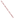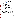## **THE ENVIRONMENTAL TECHNOLOGY VERIFICATION**







# **ETV Joint Verification Statement**

|                                   | TECHNOLOGY TYPE: CONTINUOUS EMISSION MONITOR                                                                 |  |
|-----------------------------------|--------------------------------------------------------------------------------------------------------------|--|
| <b>APPLICATION:</b>               | <b>MEASURING MERCURY EMISSIONS</b>                                                                           |  |
| <b>TECHNOLOGY NAME: MS-1/DM-5</b> |                                                                                                              |  |
| <b>COMPANY:</b>                   | <b>Nippon Instruments Corporation</b>                                                                        |  |
| <b>ADDRESS:</b>                   | $+81-726-94-5195$<br>14-8, Akaoji, Takatsuki-shi, PHONE:<br>Osaka, 569-1146, Japan FAX:<br>$+81-726-94-0663$ |  |
| <b>WEB SITE:</b>                  | http://www.smglink.com/nic/                                                                                  |  |
| E-MAIL:                           | nic@rigaku.co.jp                                                                                             |  |

The U.S. Environmental Protection Agency (EPA) supports the Environmental Technology Verification (ETV) Program to facilitate the deployment of innovative or improved environmental technologies through performance verification and dissemination of information. The goal of the ETV Program is to further environmental protection by accelerating the acceptance and use of improved and cost-effective technologies. ETV seeks to achieve this goal by providing high-quality, peer-reviewed data on technology performance to those involved in the design, distribution, financing, permitting, purchase, and use of environmental technologies.

ETV works in partnership with recognized standards and testing organizations, with stakeholder groups (consisting of buyers, vendor organizations, and permitters), and with individual technology developers. The program evaluates the performance of innovative technologies by developing test plans that are responsive to the needs of stakeholders, conducting field or laboratory tests (as appropriate), collecting and analyzing data, and preparing peer-reviewed reports. All evaluations are conducted in accordance with rigorous quality assurance (QA) protocols to ensure that data of known and adequate quality are generated and that the results are defensible.

The Advanced Monitoring Systems (AMS) Center, one of seven technology areas under ETV, is operated by Battelle in cooperation with EPA's National Exposure Research Laboratory. The AMS Center has recently evaluated the performance of continuous emission monitors (CEMs) used to measure mercury emissions. This verification statement provides a summary of the test results for the Nippon Instruments Corporation MS-1/DM-5 CEM.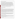### **VERIFICATION TEST DESCRIPTION**

The purpose of this verification test was to evaluate the performance of mercury CEMs at a full-scale field location, over a substantial duration of continuous operation. The CEMs were challenged by stack gases generated from the thermal treatment of a variety of actual wastes in the Toxic Substances Control Act Incinerator (TSCAI) at the East Tennessee Technology Park in Oak Ridge, Tennessee. CEM responses were compared with reference mercury measurements of total  $(Hg_T)$ , oxidized  $(Hg_{OX})$ , and elemental mercury  $(Hg^0)$ . Mercury standard gases were used to challenge the CEMs to assess stability in long-term operation, and the instruments were operated for several weeks by TSCAI staff to assess operational aspects of their use. The reference method for establishing the quantitative performance of the tested technologies was the Ontario Hydro (OH) method. For the MS-1/DM-5, relative accuracy (RA) and correlation with the reference method were evaluated for Hg<sub>T</sub>, Hg<sub>OX</sub>, and Hg<sup>o</sup>. Precision (i.e., repeatability at stable test conditions) was assessed for Hg<sub>T</sub>. Sampling system bias, calibration and zero drift, and response time were assessed for Hg<sup>o</sup> only, using commercial compressed gas standards of Hg<sup>o</sup>. The data completeness, reliability, and maintainability of the MS-1/DM-5 over the course of the verification test were assessed during several weeks of continuous operation.

QA oversight of verification testing was provided by Battelle. Battelle QA staff conducted a technical systems audit, a performance evaluation audit, and a data quality audit of 10% of the test data.

#### **TECHNOLOGY DESCRIPTION**

The following description of the MS-1/DM-5 was provided by the vendor and does not represent verified information.

The MS-1/DM-5 monitors  $Hg^{\circ}$  and  $Hg_{OX}$  continuously in stack gas. This continuous mercury speciation analyzer consists of the MS-1 speciation unit and two DM-5 cold vapor atomic absorption detectors, one for  $Hg^0$ , the other for Hg<sub>OX</sub>. The DM-5 detectors are connected to the MS-1 by a linking cable and a 6-millimeter (mm) (0.24-inch) Teflon tube. To measure  $Hg^0$ , sample gas and potassium chloride solution are mixed in a reaction tube to remove water-soluble  $Hg_{OX}$  and water-soluble organic mercury. Then, the gas and solution are separated in a gas/liquidseparating tube. After the gas is washed with a potassium hydroxide solution and dehumidified, the mercury is guided to the detector where gaseous  $Hg^0$  is measured. To measure  $Hg_{OX}$ , the solution containing  $Hg_{OX}$  and water-soluble organic mercury is guided to the lower part of the reaction tube to be mixed with a reducing solution of tin chloride. There,  $Hg_{OX}$  and the water-soluble organic mercury in the solution are reduced to gaseous Hg<sup>o</sup>. The gas is washed by potassium hydroxide solution and dehumidified in an electronic cooler. The mercury then is guided to the detector for measurement.

The MS-1/DM-5 reports mass concentration in micrograms per cubic meter. It requires manual calibration and chemical reagents. Control keys are used to change sequence times, and a liquid crystal display shows the times. The MS-1/DM-5 operates on 100-volt AC power. The MS-1 is 480 mm (19 inches) wide, 230 mm (9 inches) deep, and 620 mm (24 inches) high and weighs 16 kilograms (35 pounds). Each DM-5 is 430 mm (17 inches) wide, 220 mm (nine inches) deep, and 550 mm (22 inches) high and weighs 16 kilograms (25 pounds).

## **VERIFICATION OF PERFORMANCE**

**Relative Accuracy:** The accuracy of the MS-1/DM-5 for measuring total vapor-phase mercury was verified by comparison to the results of 18 sampling runs using dual trains at  $Hg_T$  levels from <1 to 200 micrograms per dry standard cubic meter of flue gas. When all 18 OH runs were included in the comparison, an overall RA of 11.2% was found for  $Hg_T$ , and an overall RA of 10.1% for  $Hg^{\circ}$ .

**Correlation with Reference Method Results:** Correlation of the MS-1/DM-5 Hg<sub>T</sub> results with the OH results showed an  $r^2$  value of 0.987 when all 18 OH results were included. The  $r^2$  values for Hg<sup>o</sup> and Hg<sub>OX</sub> were 0.989 and 0.985, respectively.